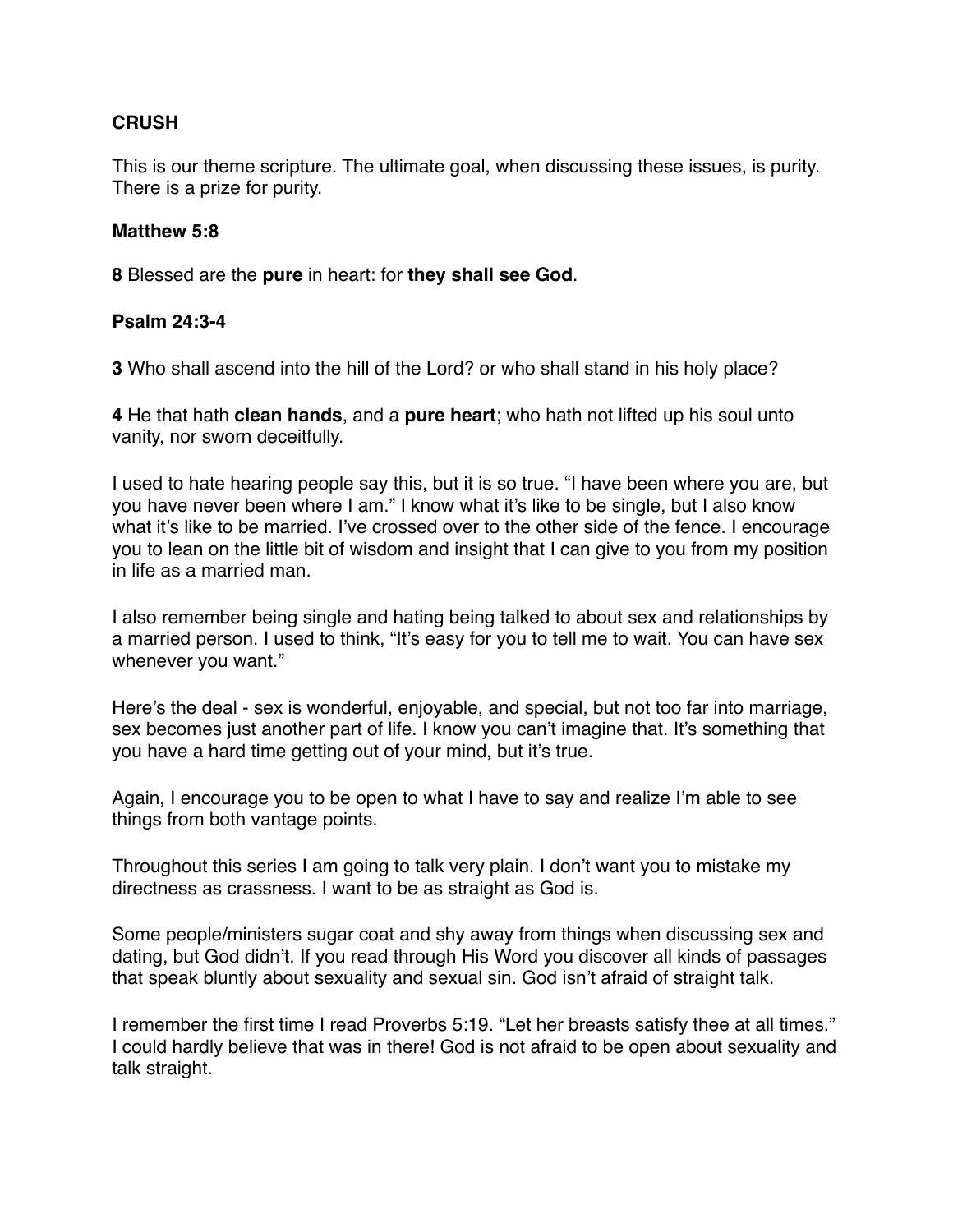#### **CRUSH**

This is our theme scripture. The ultimate goal, when discussing these issues, is purity. There is a prize for purity.

#### **Matthew 5:8**

**8** Blessed are the **pure** in heart: for **they shall see God**.

#### **Psalm 24:3-4**

**3** Who shall ascend into the hill of the Lord? or who shall stand in his holy place?

**4** He that hath **clean hands**, and a **pure heart**; who hath not lifted up his soul unto vanity, nor sworn deceitfully.

I used to hate hearing people say this, but it is so true. "I have been where you are, but you have never been where I am." I know what it's like to be single, but I also know what it's like to be married. I've crossed over to the other side of the fence. I encourage you to lean on the little bit of wisdom and insight that I can give to you from my position in life as a married man.

I also remember being single and hating being talked to about sex and relationships by a married person. I used to think, "It's easy for you to tell me to wait. You can have sex whenever you want."

Here's the deal - sex is wonderful, enjoyable, and special, but not too far into marriage, sex becomes just another part of life. I know you can't imagine that. It's something that you have a hard time getting out of your mind, but it's true.

Again, I encourage you to be open to what I have to say and realize I'm able to see things from both vantage points.

Throughout this series I am going to talk very plain. I don't want you to mistake my directness as crassness. I want to be as straight as God is.

Some people/ministers sugar coat and shy away from things when discussing sex and dating, but God didn't. If you read through His Word you discover all kinds of passages that speak bluntly about sexuality and sexual sin. God isn't afraid of straight talk.

I remember the first time I read Proverbs 5:19. "Let her breasts satisfy thee at all times." I could hardly believe that was in there! God is not afraid to be open about sexuality and talk straight.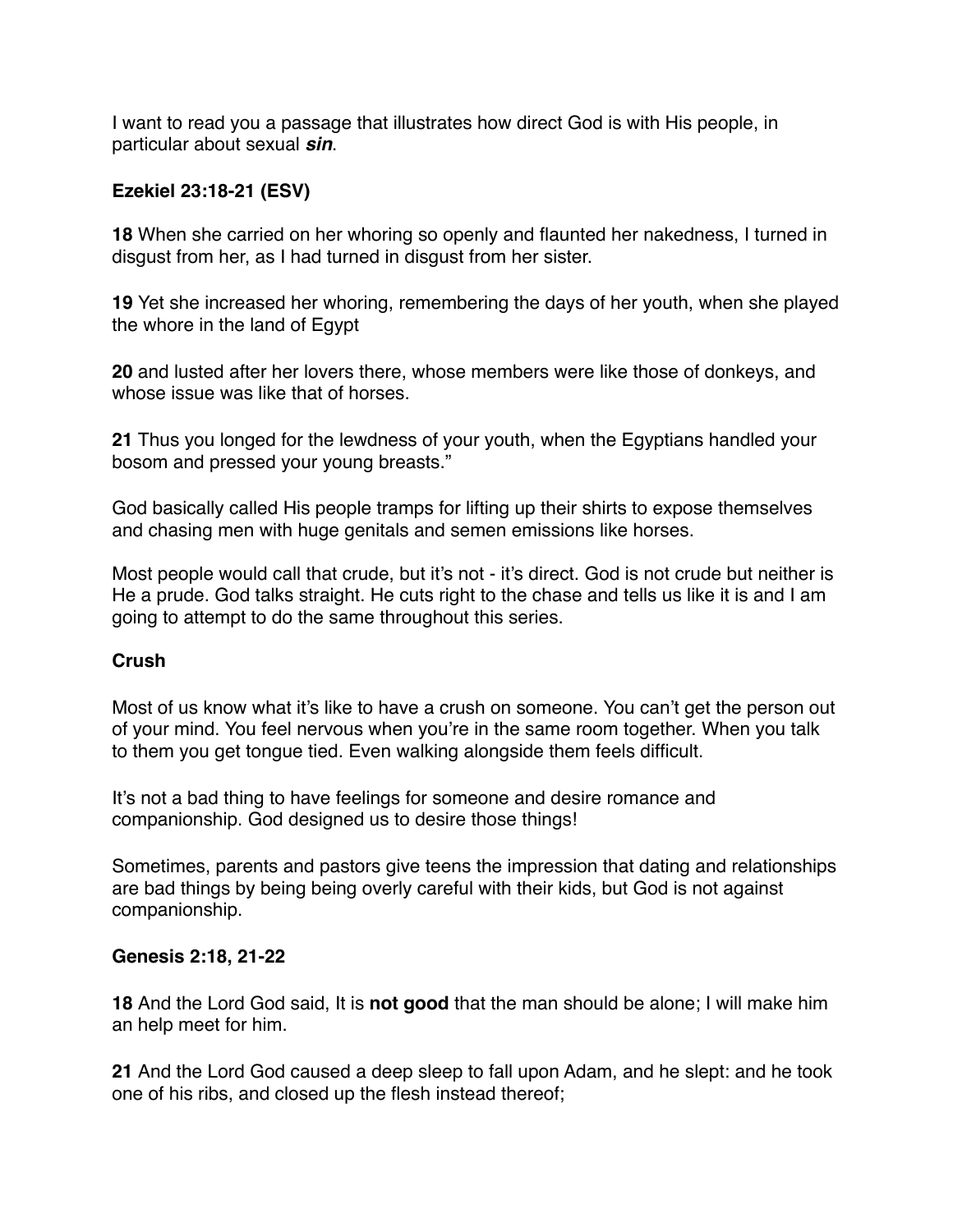I want to read you a passage that illustrates how direct God is with His people, in particular about sexual *sin*.

## **Ezekiel 23:18-21 (ESV)**

**18** When she carried on her whoring so openly and flaunted her nakedness, I turned in disgust from her, as I had turned in disgust from her sister.

**19** Yet she increased her whoring, remembering the days of her youth, when she played the whore in the land of Egypt

**20** and lusted after her lovers there, whose members were like those of donkeys, and whose issue was like that of horses.

**21** Thus you longed for the lewdness of your youth, when the Egyptians handled your bosom and pressed your young breasts."

God basically called His people tramps for lifting up their shirts to expose themselves and chasing men with huge genitals and semen emissions like horses.

Most people would call that crude, but it's not - it's direct. God is not crude but neither is He a prude. God talks straight. He cuts right to the chase and tells us like it is and I am going to attempt to do the same throughout this series.

#### **Crush**

Most of us know what it's like to have a crush on someone. You can't get the person out of your mind. You feel nervous when you're in the same room together. When you talk to them you get tongue tied. Even walking alongside them feels difficult.

It's not a bad thing to have feelings for someone and desire romance and companionship. God designed us to desire those things!

Sometimes, parents and pastors give teens the impression that dating and relationships are bad things by being being overly careful with their kids, but God is not against companionship.

#### **Genesis 2:18, 21-22**

**18** And the Lord God said, It is **not good** that the man should be alone; I will make him an help meet for him.

**21** And the Lord God caused a deep sleep to fall upon Adam, and he slept: and he took one of his ribs, and closed up the flesh instead thereof;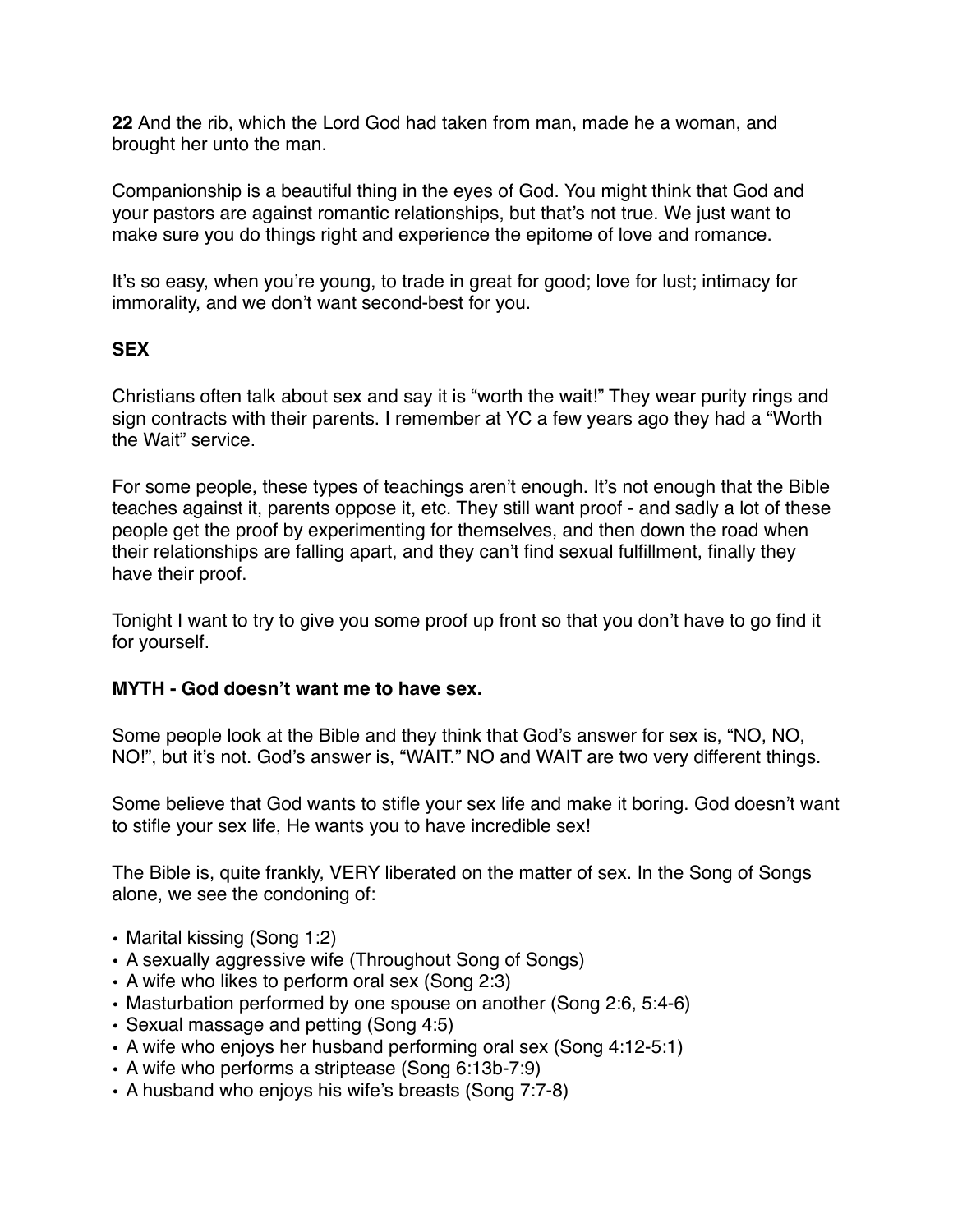**22** And the rib, which the Lord God had taken from man, made he a woman, and brought her unto the man.

Companionship is a beautiful thing in the eyes of God. You might think that God and your pastors are against romantic relationships, but that's not true. We just want to make sure you do things right and experience the epitome of love and romance.

It's so easy, when you're young, to trade in great for good; love for lust; intimacy for immorality, and we don't want second-best for you.

## **SEX**

Christians often talk about sex and say it is "worth the wait!" They wear purity rings and sign contracts with their parents. I remember at YC a few years ago they had a "Worth the Wait" service.

For some people, these types of teachings aren't enough. It's not enough that the Bible teaches against it, parents oppose it, etc. They still want proof - and sadly a lot of these people get the proof by experimenting for themselves, and then down the road when their relationships are falling apart, and they can't find sexual fulfillment, finally they have their proof.

Tonight I want to try to give you some proof up front so that you don't have to go find it for yourself.

#### **MYTH - God doesn't want me to have sex.**

Some people look at the Bible and they think that God's answer for sex is, "NO, NO, NO!", but it's not. God's answer is, "WAIT." NO and WAIT are two very different things.

Some believe that God wants to stifle your sex life and make it boring. God doesn't want to stifle your sex life, He wants you to have incredible sex!

The Bible is, quite frankly, VERY liberated on the matter of sex. In the Song of Songs alone, we see the condoning of:

- Marital kissing (Song 1:2)
- A sexually aggressive wife (Throughout Song of Songs)
- A wife who likes to perform oral sex (Song 2:3)
- Masturbation performed by one spouse on another (Song 2:6, 5:4-6)
- Sexual massage and petting (Song 4:5)
- A wife who enjoys her husband performing oral sex (Song 4:12-5:1)
- A wife who performs a striptease (Song 6:13b-7:9)
- A husband who enjoys his wife's breasts (Song 7:7-8)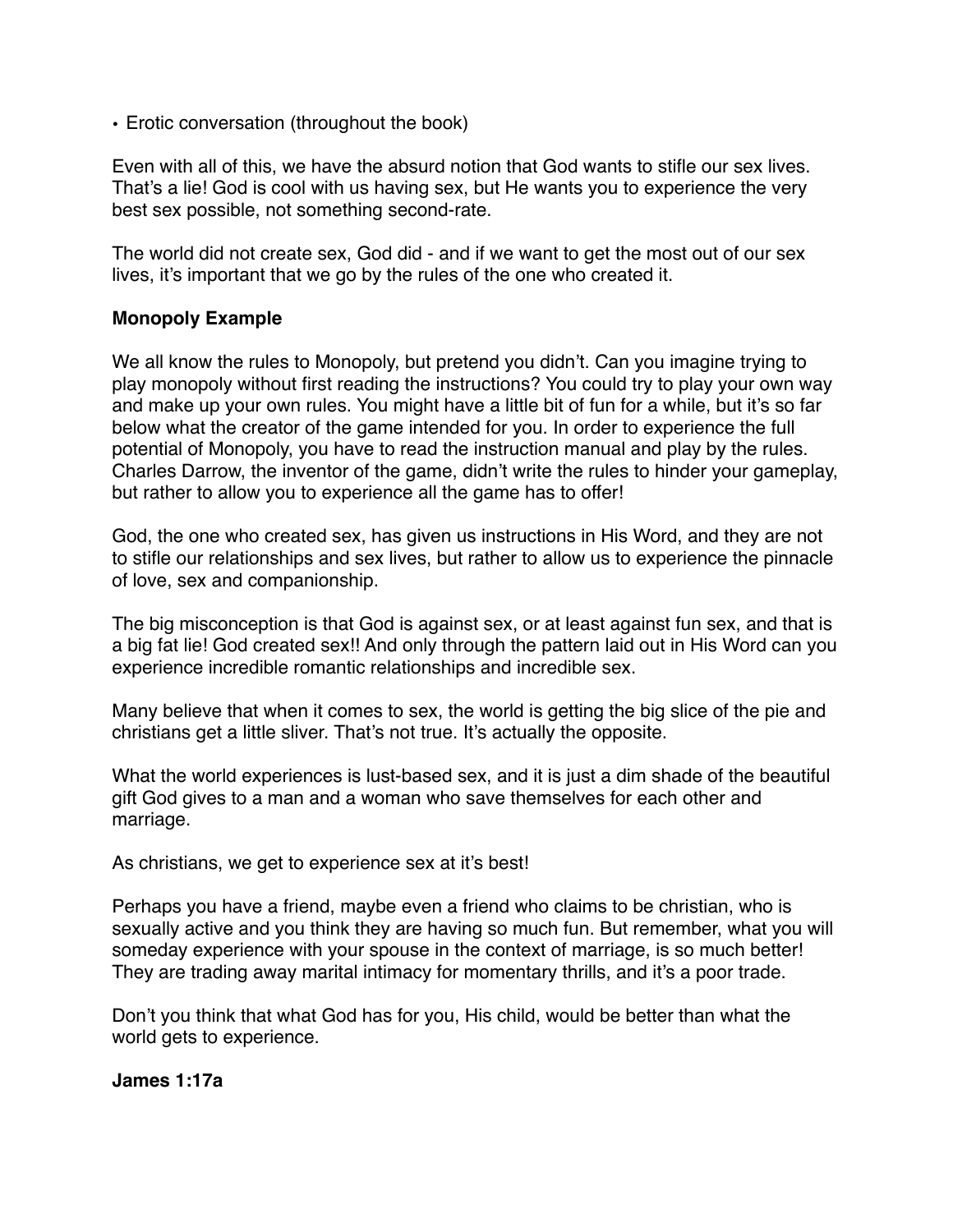• Erotic conversation (throughout the book)

Even with all of this, we have the absurd notion that God wants to stifle our sex lives. That's a lie! God is cool with us having sex, but He wants you to experience the very best sex possible, not something second-rate.

The world did not create sex, God did - and if we want to get the most out of our sex lives, it's important that we go by the rules of the one who created it.

#### **Monopoly Example**

We all know the rules to Monopoly, but pretend you didn't. Can you imagine trying to play monopoly without first reading the instructions? You could try to play your own way and make up your own rules. You might have a little bit of fun for a while, but it's so far below what the creator of the game intended for you. In order to experience the full potential of Monopoly, you have to read the instruction manual and play by the rules. Charles Darrow, the inventor of the game, didn't write the rules to hinder your gameplay, but rather to allow you to experience all the game has to offer!

God, the one who created sex, has given us instructions in His Word, and they are not to stifle our relationships and sex lives, but rather to allow us to experience the pinnacle of love, sex and companionship.

The big misconception is that God is against sex, or at least against fun sex, and that is a big fat lie! God created sex!! And only through the pattern laid out in His Word can you experience incredible romantic relationships and incredible sex.

Many believe that when it comes to sex, the world is getting the big slice of the pie and christians get a little sliver. That's not true. It's actually the opposite.

What the world experiences is lust-based sex, and it is just a dim shade of the beautiful gift God gives to a man and a woman who save themselves for each other and marriage.

As christians, we get to experience sex at it's best!

Perhaps you have a friend, maybe even a friend who claims to be christian, who is sexually active and you think they are having so much fun. But remember, what you will someday experience with your spouse in the context of marriage, is so much better! They are trading away marital intimacy for momentary thrills, and it's a poor trade.

Don't you think that what God has for you, His child, would be better than what the world gets to experience.

**James 1:17a**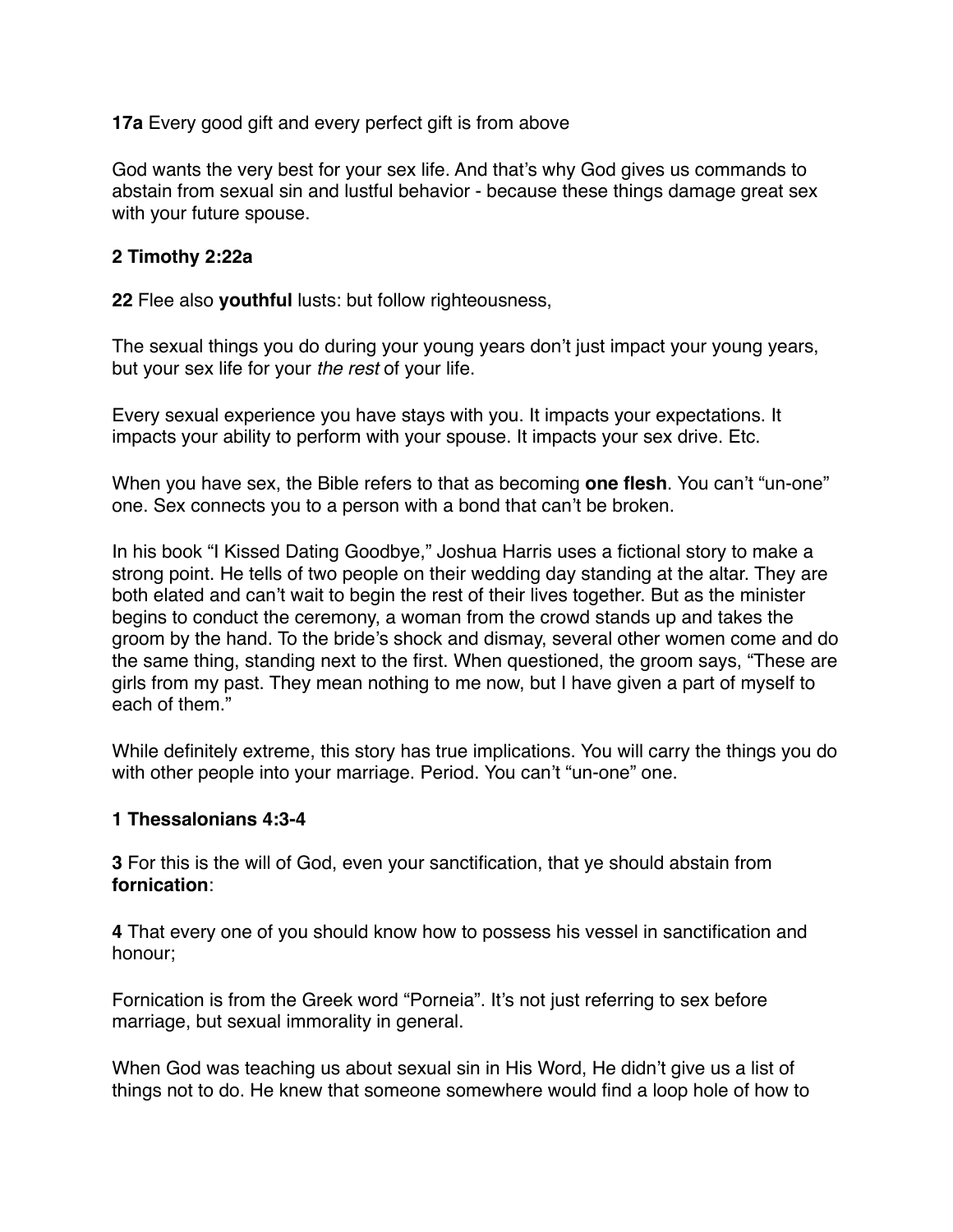**17a** Every good gift and every perfect gift is from above

God wants the very best for your sex life. And that's why God gives us commands to abstain from sexual sin and lustful behavior - because these things damage great sex with your future spouse.

## **2 Timothy 2:22a**

**22** Flee also **youthful** lusts: but follow righteousness,

The sexual things you do during your young years don't just impact your young years, but your sex life for your *the rest* of your life.

Every sexual experience you have stays with you. It impacts your expectations. It impacts your ability to perform with your spouse. It impacts your sex drive. Etc.

When you have sex, the Bible refers to that as becoming **one flesh**. You can't "un-one" one. Sex connects you to a person with a bond that can't be broken.

In his book "I Kissed Dating Goodbye," Joshua Harris uses a fictional story to make a strong point. He tells of two people on their wedding day standing at the altar. They are both elated and can't wait to begin the rest of their lives together. But as the minister begins to conduct the ceremony, a woman from the crowd stands up and takes the groom by the hand. To the bride's shock and dismay, several other women come and do the same thing, standing next to the first. When questioned, the groom says, "These are girls from my past. They mean nothing to me now, but I have given a part of myself to each of them."

While definitely extreme, this story has true implications. You will carry the things you do with other people into your marriage. Period. You can't "un-one" one.

#### **1 Thessalonians 4:3-4**

**3** For this is the will of God, even your sanctification, that ye should abstain from **fornication**:

**4** That every one of you should know how to possess his vessel in sanctification and honour;

Fornication is from the Greek word "Porneia". It's not just referring to sex before marriage, but sexual immorality in general.

When God was teaching us about sexual sin in His Word, He didn't give us a list of things not to do. He knew that someone somewhere would find a loop hole of how to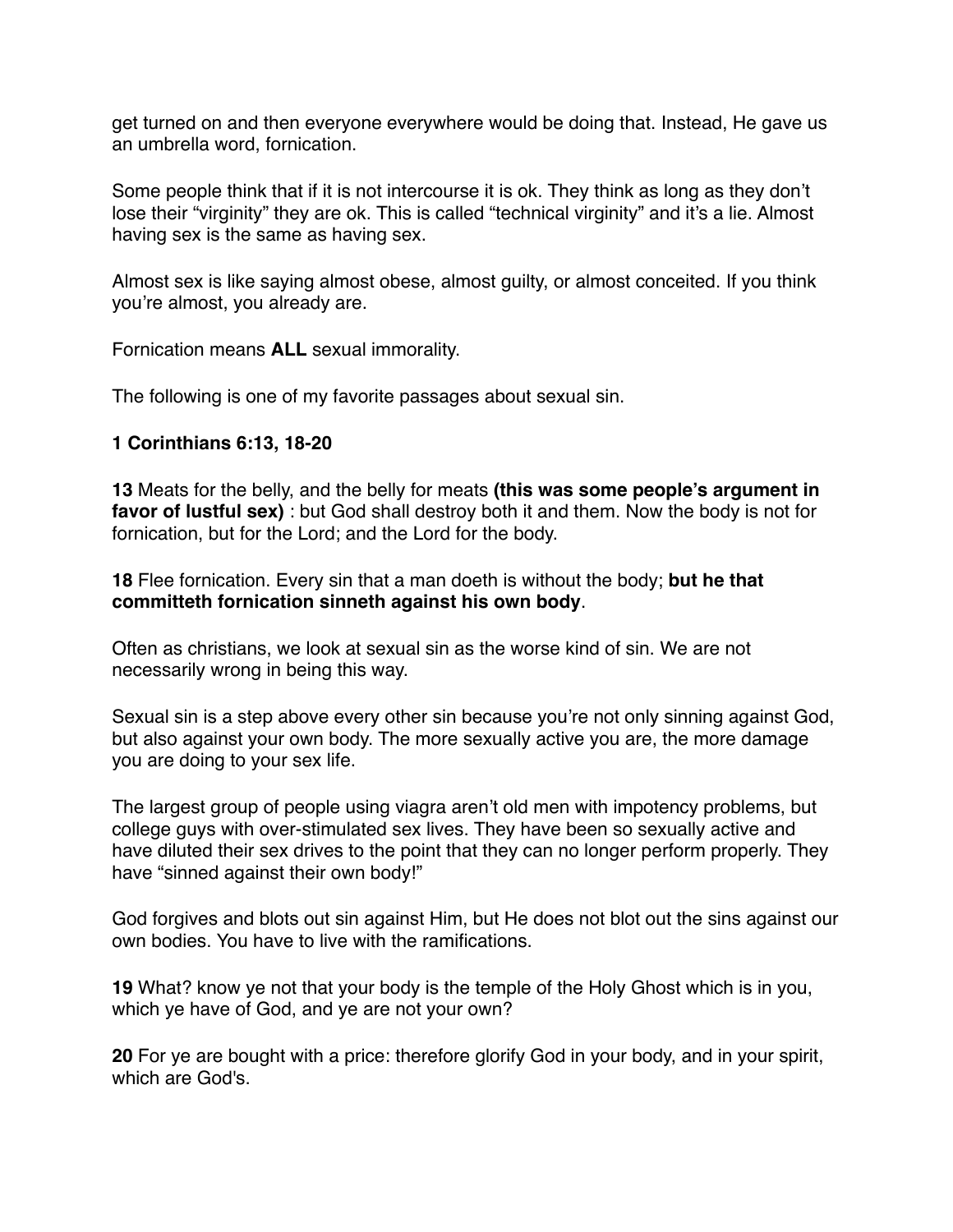get turned on and then everyone everywhere would be doing that. Instead, He gave us an umbrella word, fornication.

Some people think that if it is not intercourse it is ok. They think as long as they don't lose their "virginity" they are ok. This is called "technical virginity" and it's a lie. Almost having sex is the same as having sex.

Almost sex is like saying almost obese, almost guilty, or almost conceited. If you think you're almost, you already are.

Fornication means **ALL** sexual immorality.

The following is one of my favorite passages about sexual sin.

#### **1 Corinthians 6:13, 18-20**

**13** Meats for the belly, and the belly for meats **(this was some people's argument in favor of lustful sex)** : but God shall destroy both it and them. Now the body is not for fornication, but for the Lord; and the Lord for the body.

**18** Flee fornication. Every sin that a man doeth is without the body; **but he that committeth fornication sinneth against his own body**.

Often as christians, we look at sexual sin as the worse kind of sin. We are not necessarily wrong in being this way.

Sexual sin is a step above every other sin because you're not only sinning against God, but also against your own body. The more sexually active you are, the more damage you are doing to your sex life.

The largest group of people using viagra aren't old men with impotency problems, but college guys with over-stimulated sex lives. They have been so sexually active and have diluted their sex drives to the point that they can no longer perform properly. They have "sinned against their own body!"

God forgives and blots out sin against Him, but He does not blot out the sins against our own bodies. You have to live with the ramifications.

**19** What? know ye not that your body is the temple of the Holy Ghost which is in you, which ye have of God, and ye are not your own?

**20** For ye are bought with a price: therefore glorify God in your body, and in your spirit, which are God's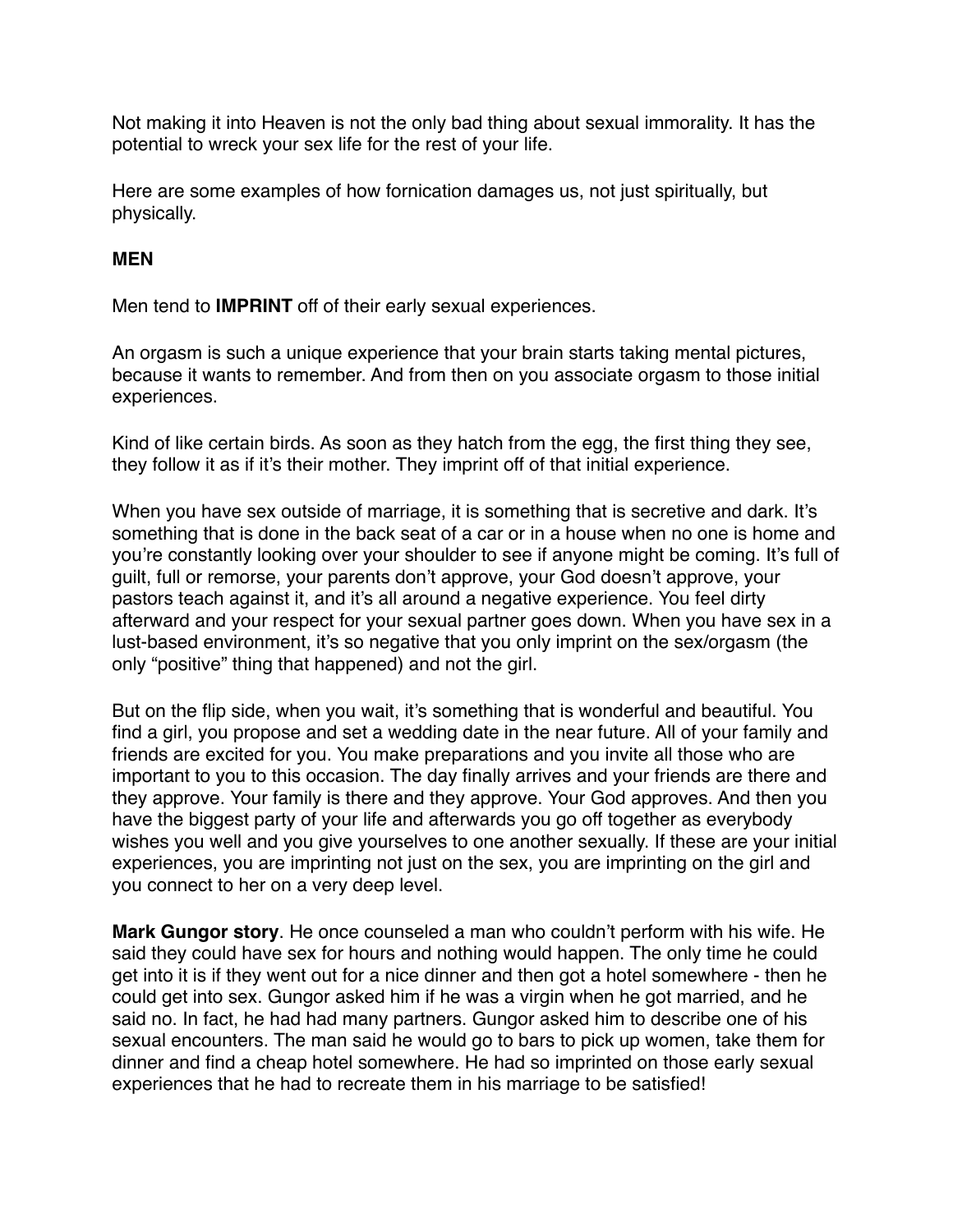Not making it into Heaven is not the only bad thing about sexual immorality. It has the potential to wreck your sex life for the rest of your life.

Here are some examples of how fornication damages us, not just spiritually, but physically.

## **MEN**

Men tend to **IMPRINT** off of their early sexual experiences.

An orgasm is such a unique experience that your brain starts taking mental pictures, because it wants to remember. And from then on you associate orgasm to those initial experiences.

Kind of like certain birds. As soon as they hatch from the egg, the first thing they see, they follow it as if it's their mother. They imprint off of that initial experience.

When you have sex outside of marriage, it is something that is secretive and dark. It's something that is done in the back seat of a car or in a house when no one is home and you're constantly looking over your shoulder to see if anyone might be coming. It's full of guilt, full or remorse, your parents don't approve, your God doesn't approve, your pastors teach against it, and it's all around a negative experience. You feel dirty afterward and your respect for your sexual partner goes down. When you have sex in a lust-based environment, it's so negative that you only imprint on the sex/orgasm (the only "positive" thing that happened) and not the girl.

But on the flip side, when you wait, it's something that is wonderful and beautiful. You find a girl, you propose and set a wedding date in the near future. All of your family and friends are excited for you. You make preparations and you invite all those who are important to you to this occasion. The day finally arrives and your friends are there and they approve. Your family is there and they approve. Your God approves. And then you have the biggest party of your life and afterwards you go off together as everybody wishes you well and you give yourselves to one another sexually. If these are your initial experiences, you are imprinting not just on the sex, you are imprinting on the girl and you connect to her on a very deep level.

**Mark Gungor story**. He once counseled a man who couldn't perform with his wife. He said they could have sex for hours and nothing would happen. The only time he could get into it is if they went out for a nice dinner and then got a hotel somewhere - then he could get into sex. Gungor asked him if he was a virgin when he got married, and he said no. In fact, he had had many partners. Gungor asked him to describe one of his sexual encounters. The man said he would go to bars to pick up women, take them for dinner and find a cheap hotel somewhere. He had so imprinted on those early sexual experiences that he had to recreate them in his marriage to be satisfied!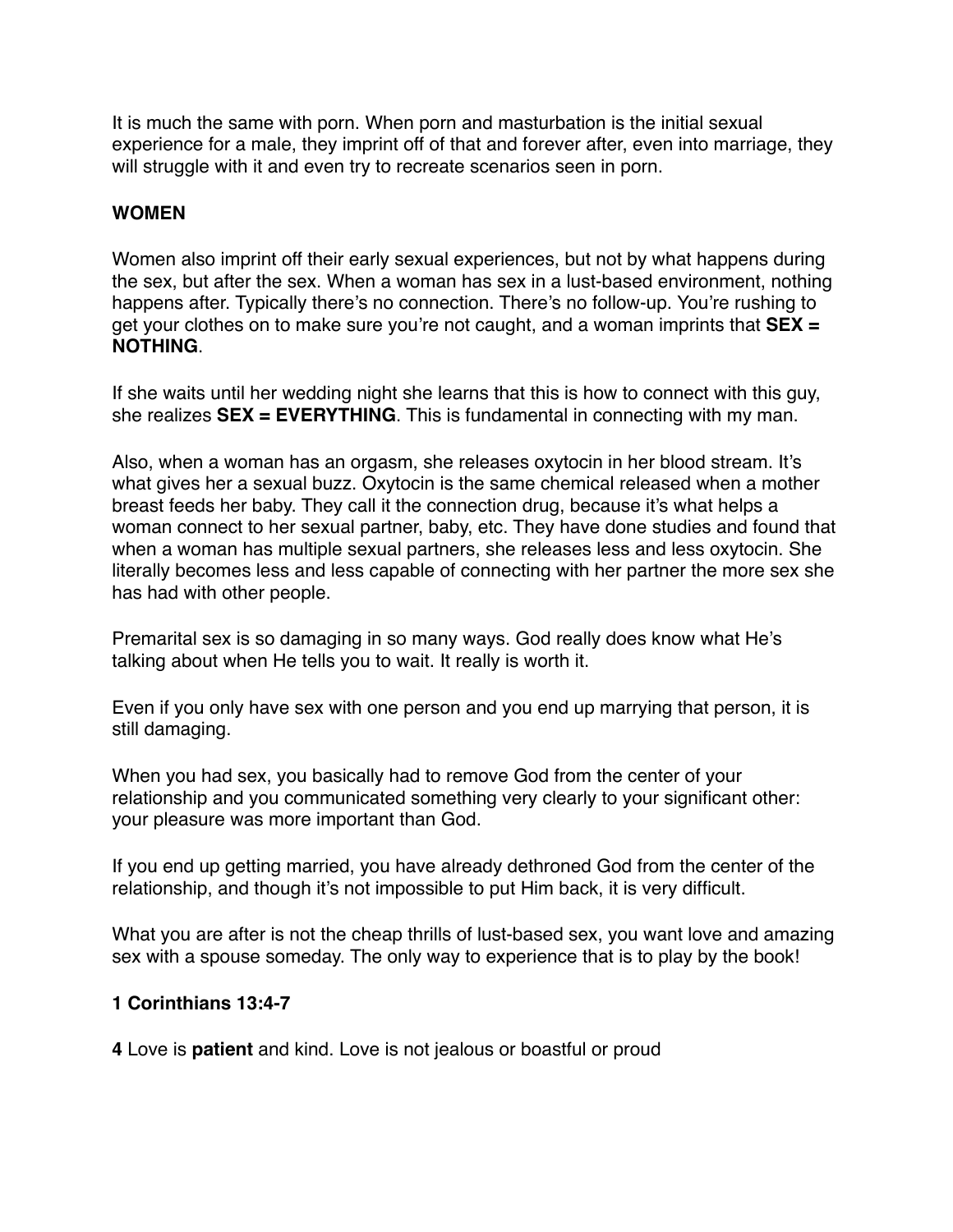It is much the same with porn. When porn and masturbation is the initial sexual experience for a male, they imprint off of that and forever after, even into marriage, they will struggle with it and even try to recreate scenarios seen in porn.

# **WOMEN**

Women also imprint off their early sexual experiences, but not by what happens during the sex, but after the sex. When a woman has sex in a lust-based environment, nothing happens after. Typically there's no connection. There's no follow-up. You're rushing to get your clothes on to make sure you're not caught, and a woman imprints that **SEX = NOTHING**.

If she waits until her wedding night she learns that this is how to connect with this guy, she realizes **SEX = EVERYTHING**. This is fundamental in connecting with my man.

Also, when a woman has an orgasm, she releases oxytocin in her blood stream. It's what gives her a sexual buzz. Oxytocin is the same chemical released when a mother breast feeds her baby. They call it the connection drug, because it's what helps a woman connect to her sexual partner, baby, etc. They have done studies and found that when a woman has multiple sexual partners, she releases less and less oxytocin. She literally becomes less and less capable of connecting with her partner the more sex she has had with other people.

Premarital sex is so damaging in so many ways. God really does know what He's talking about when He tells you to wait. It really is worth it.

Even if you only have sex with one person and you end up marrying that person, it is still damaging.

When you had sex, you basically had to remove God from the center of your relationship and you communicated something very clearly to your significant other: your pleasure was more important than God.

If you end up getting married, you have already dethroned God from the center of the relationship, and though it's not impossible to put Him back, it is very difficult.

What you are after is not the cheap thrills of lust-based sex, you want love and amazing sex with a spouse someday. The only way to experience that is to play by the book!

# **1 Corinthians 13:4-7**

**4** Love is **patient** and kind. Love is not jealous or boastful or proud